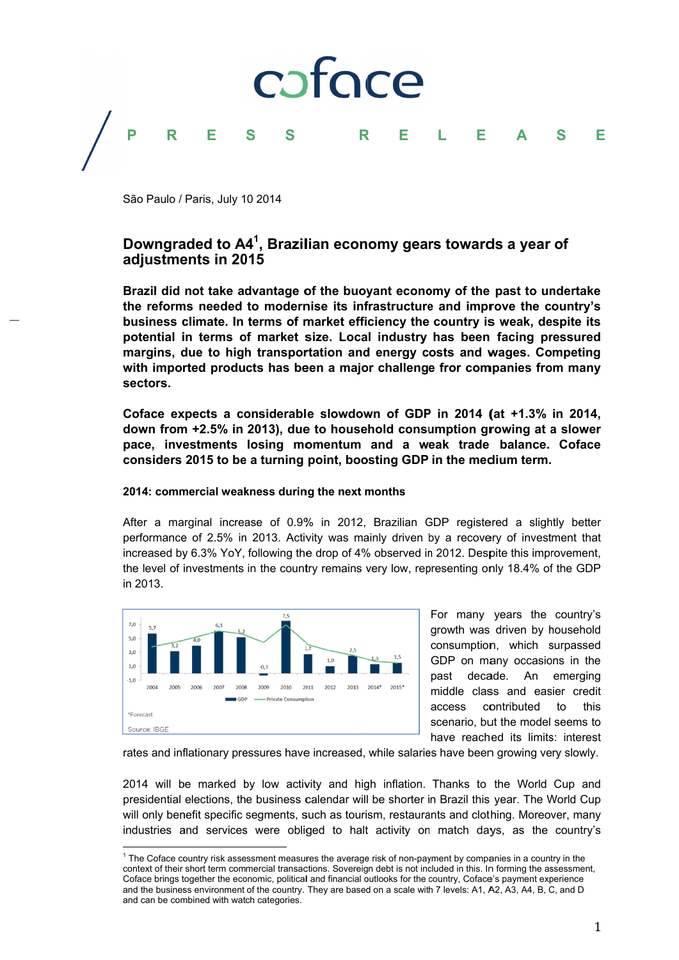

São Paulo / Paris, July 10 2014

# Downgraded to A4<sup>1</sup>. Brazilian economy gears towards a year of adjustments in 2015

Brazil did not take advantage of the buoyant economy of the past to undertake the reforms needed to modernise its infrastructure and improve the country's business climate. In terms of market efficiency the country is weak, despite its potential in terms of market size. Local industry has been facing pressured margins, due to high transportation and energy costs and wages. Competing with imported products has been a major challenge fror companies from many sectors.

Coface expects a considerable slowdown of GDP in 2014 (at +1.3% in 2014, down from +2.5% in 2013), due to household consumption growing at a slower pace, investments losing momentum and a weak trade balance. Coface considers 2015 to be a turning point, boosting GDP in the medium term.

# 2014: commercial weakness during the next months

After a marginal increase of 0.9% in 2012, Brazilian GDP registered a slightly better performance of 2.5% in 2013. Activity was mainly driven by a recovery of investment that increased by 6.3% YoY, following the drop of 4% observed in 2012. Despite this improvement, the level of investments in the country remains very low, representing only 18.4% of the GDP in 2013.



For many years the country's growth was driven by household consumption, which surpassed GDP on many occasions in the past decade. An emerging middle class and easier credit contributed access  $\mathsf{to}$ this scenario, but the model seems to have reached its limits: interest

rates and inflationary pressures have increased, while salaries have been growing very slowly.

2014 will be marked by low activity and high inflation. Thanks to the World Cup and presidential elections, the business calendar will be shorter in Brazil this year. The World Cup will only benefit specific segments, such as tourism, restaurants and clothing. Moreover, many industries and services were obliged to halt activity on match days, as the country's

<sup>&</sup>lt;sup>1</sup> The Coface country risk assessment measures the average risk of non-payment by companies in a country in the context of their short term commercial transactions. Sovereign debt is not included in this. In forming the assessment, Coface brings together the economic, political and financial outlooks for the country, Coface's payment experience and the business environment of the country. They are based on a scale with 7 levels: A1, A2, A3, A4, B, C, and D and can be combined with watch categories.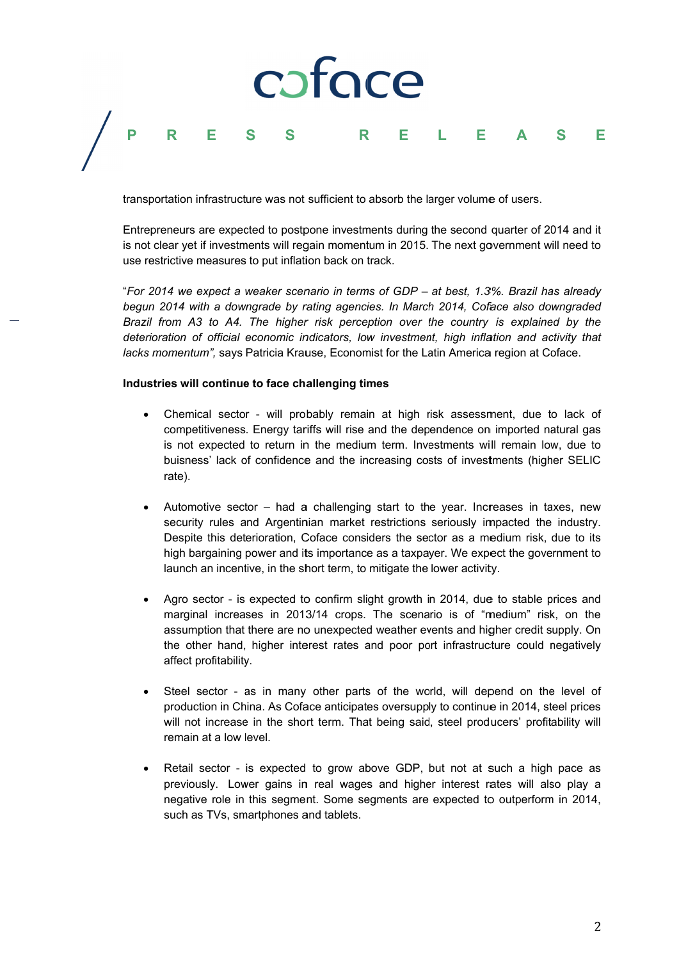## caface P F R  $\mathbf R$ E F F L

transportation infrastructure was not sufficient to absorb the larger volume of users.

Entrepreneurs are expected to postpone investments during the second quarter of 2014 and it is not clear vet if investments will regain momentum in 2015. The next government will need to use restrictive measures to put inflation back on track.

"For 2014 we expect a weaker scenario in terms of GDP - at best, 1.3%. Brazil has already begun 2014 with a downgrade by rating agencies. In March 2014. Coface also downgraded Brazil from A3 to A4. The higher risk perception over the country is explained by the deterioration of official economic indicators, low investment, high inflation and activity that lacks momentum", says Patricia Krause, Economist for the Latin America region at Coface.

# Industries will continue to face challenging times

- Chemical sector will probably remain at high risk assessment, due to lack of competitiveness. Energy tariffs will rise and the dependence on imported natural gas is not expected to return in the medium term. Investments will remain low, due to buisness' lack of confidence and the increasing costs of investments (higher SELIC rate).
- Automotive sector had a challenging start to the year. Increases in taxes, new security rules and Argentinian market restrictions seriously impacted the industry. Despite this deterioration, Coface considers the sector as a medium risk, due to its high bargaining power and its importance as a taxpayer. We expect the government to launch an incentive, in the short term, to mitigate the lower activity.
- Agro sector is expected to confirm slight growth in 2014, due to stable prices and marginal increases in 2013/14 crops. The scenario is of "medium" risk, on the assumption that there are no unexpected weather events and higher credit supply. On the other hand, higher interest rates and poor port infrastructure could negatively affect profitability.
- Steel sector as in many other parts of the world, will depend on the level of production in China. As Coface anticipates oversupply to continue in 2014, steel prices will not increase in the short term. That being said, steel producers' profitability will remain at a low level.
- Retail sector is expected to grow above GDP, but not at such a high pace as previously. Lower gains in real wages and higher interest rates will also play a negative role in this segment. Some segments are expected to outperform in 2014, such as TVs, smartphones and tablets.